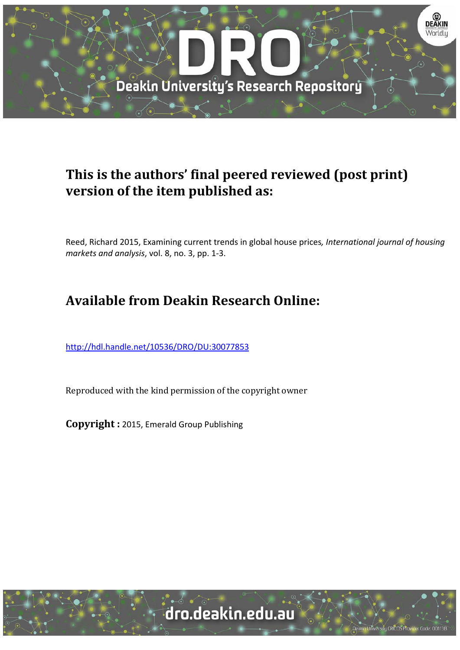

### **This is the authors' final peered reviewed (post print) version of the item published as:**

Reed, Richard 2015, Examining current trends in global house prices*, International journal of housing markets and analysis*, vol. 8, no. 3, pp. 1‐3.

## **Available from Deakin Research Online:**

http://hdl.handle.net/10536/DRO/DU:30077853

Reproduced with the kind permission of the copyright owner

**Copyright :** 2015, Emerald Group Publishing

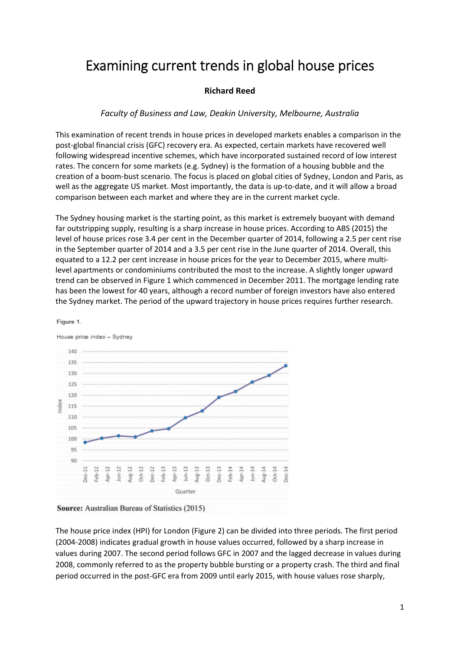# Examining current trends in global house prices

### **Richard Reed**

### *Faculty of Business and Law, Deakin University, Melbourne, Australia*

This examination of recent trends in house prices in developed markets enables a comparison in the post‐global financial crisis (GFC) recovery era. As expected, certain markets have recovered well following widespread incentive schemes, which have incorporated sustained record of low interest rates. The concern for some markets (e.g. Sydney) is the formation of a housing bubble and the creation of a boom‐bust scenario. The focus is placed on global cities of Sydney, London and Paris, as well as the aggregate US market. Most importantly, the data is up-to-date, and it will allow a broad comparison between each market and where they are in the current market cycle.

The Sydney housing market is the starting point, as this market is extremely buoyant with demand far outstripping supply, resulting is a sharp increase in house prices. According to ABS (2015) the level of house prices rose 3.4 per cent in the December quarter of 2014, following a 2.5 per cent rise in the September quarter of 2014 and a 3.5 per cent rise in the June quarter of 2014. Overall, this equated to a 12.2 per cent increase in house prices for the year to December 2015, where multilevel apartments or condominiums contributed the most to the increase. A slightly longer upward trend can be observed in Figure 1 which commenced in December 2011. The mortgage lending rate has been the lowest for 40 years, although a record number of foreign investors have also entered the Sydney market. The period of the upward trajectory in house prices requires further research.

#### House price index - Sydney 140 135 130 125  $120$ Index 115 110 105 100 95 90  $Oct-12$ Oct-13 Jun-14  $\Xi$ Dec-12 Dec-13  $\text{Mg-14}$ Oct-14  $\approx$  $\mathfrak{u}$  $\mathbf{r}$  $\overline{12}$  $\frac{3}{2}$  $\tilde{c}$  $\omega$  $\tilde{c}$ ă, 콬 san lugéb. Apr. **Jec**do. Apr-Ś ė Ŝ ģ. Quarter



Figure 1

The house price index (HPI) for London (Figure 2) can be divided into three periods. The first period (2004‐2008) indicates gradual growth in house values occurred, followed by a sharp increase in values during 2007. The second period follows GFC in 2007 and the lagged decrease in values during 2008, commonly referred to as the property bubble bursting or a property crash. The third and final period occurred in the post‐GFC era from 2009 until early 2015, with house values rose sharply,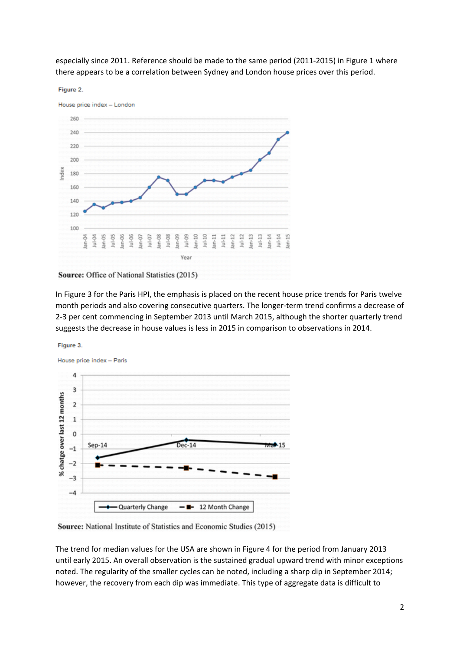especially since 2011. Reference should be made to the same period (2011‐2015) in Figure 1 where there appears to be a correlation between Sydney and London house prices over this period.

#### Figure 2.



Source: Office of National Statistics (2015)

In Figure 3 for the Paris HPI, the emphasis is placed on the recent house price trends for Paris twelve month periods and also covering consecutive quarters. The longer-term trend confirms a decrease of 2‐3 per cent commencing in September 2013 until March 2015, although the shorter quarterly trend suggests the decrease in house values is less in 2015 in comparison to observations in 2014.





Source: National Institute of Statistics and Economic Studies (2015)

The trend for median values for the USA are shown in Figure 4 for the period from January 2013 until early 2015. An overall observation is the sustained gradual upward trend with minor exceptions noted. The regularity of the smaller cycles can be noted, including a sharp dip in September 2014; however, the recovery from each dip was immediate. This type of aggregate data is difficult to